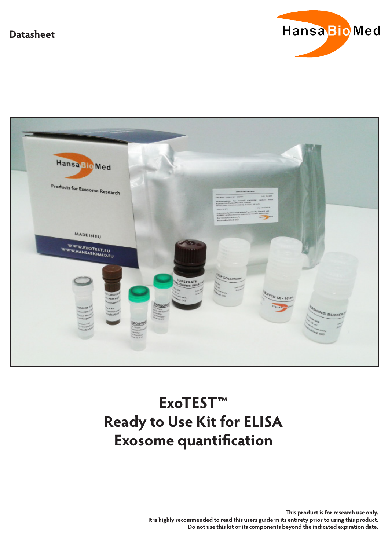# **Datasheet**





# **ExoTEST™ Ready to Use Kit for ELISA Exosome quantification**

**This product is for research use only. It is highly recommended to read this users guide in its entirety prior to using this product. Do not use this kit or its components beyond the indicated expiration date.**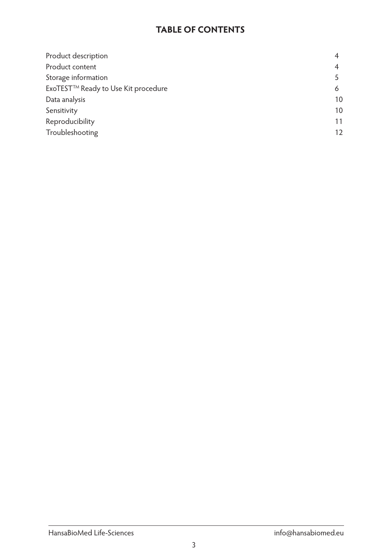# **TABLE OF CONTENTS**

| Product description                 |    |
|-------------------------------------|----|
| Product content                     |    |
| Storage information                 |    |
| ExoTEST™ Ready to Use Kit procedure |    |
| Data analysis                       | 10 |
| Sensitivity                         | 10 |
| Reproducibility                     | 11 |
| Troubleshooting                     | 12 |
|                                     |    |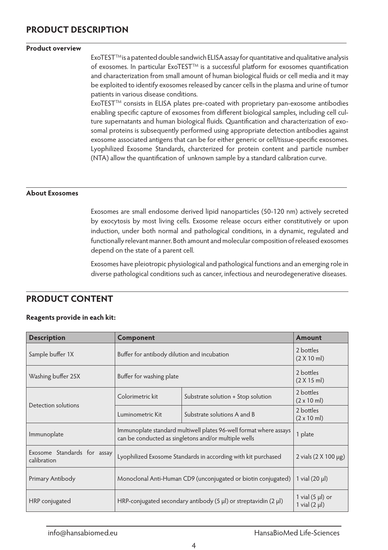# **PRODUCT DESCRIPTION**

#### $\overline{a}$ **Product overview**

ExoTESTTMis a patented double sandwich ELISA assay for quantitative and qualitative analysis of exosomes. In particular ExoTEST™ is a successful platform for exosomes quantification and characterization from small amount of human biological fluids or cell media and it may be exploited to identify exosomes released by cancer cells in the plasma and urine of tumor patients in various disease conditions.

ExoTEST™ consists in ELISA plates pre-coated with proprietary pan-exosome antibodies enabling specific capture of exosomes from different biological samples, including cell culture supernatants and human biological fluids. Quantification and characterization of exosomal proteins is subsequently performed using appropriate detection antibodies against exosome associated antigens that can be for either generic or cell/tissue-specific exosomes. Lyophilized Exosome Standards, charcterized for protein content and particle number (NTA) allow the quantification of unknown sample by a standard calibration curve.

#### **About Exosomes**

 $\overline{a}$ 

Exosomes are small endosome derived lipid nanoparticles (50-120 nm) actively secreted by exocytosis by most living cells. Exosome release occurs either constitutively or upon induction, under both normal and pathological conditions, in a dynamic, regulated and functionally relevant manner. Both amount and molecular composition of released exosomes depend on the state of a parent cell.

Exosomes have pleiotropic physiological and pathological functions and an emerging role in diverse pathological conditions such as cancer, infectious and neurodegenerative diseases.

## **PRODUCT CONTENT**

#### **Reagents provide in each kit:**

| <b>Description</b>                         | Component                                                                                                                 |                                    | <b>Amount</b>                               |
|--------------------------------------------|---------------------------------------------------------------------------------------------------------------------------|------------------------------------|---------------------------------------------|
| Sample buffer 1X                           | Buffer for antibody dilution and incubation                                                                               |                                    | 2 bottles<br>(2 X 10 m)                     |
| Washing buffer 25X                         | Buffer for washing plate                                                                                                  |                                    | 2 bottles<br>(2 X 15 ml)                    |
|                                            | Colorimetric kit                                                                                                          | Substrate solution + Stop solution | 2 bottles<br>$(2 \times 10 \text{ ml})$     |
| Detection solutions                        | Luminometric Kit                                                                                                          | Substrate solutions A and B        | 2 bottles<br>$(2 \times 10 \text{ ml})$     |
| Immunoplate                                | Immunoplate standard multiwell plates 96-well format where assays<br>can be conducted as singletons and/or multiple wells |                                    | 1 plate                                     |
| Exosome Standards for assay<br>calibration | Lyophilized Exosome Standards in according with kit purchased                                                             |                                    | 2 vials $(2 \times 100 \,\mu g)$            |
| Primary Antibody                           | Monoclonal Anti-Human CD9 (unconjugated or biotin conjugated)                                                             |                                    | 1 vial $(20 \mu l)$                         |
| HRP conjugated                             | HRP-conjugated secondary antibody (5 $\mu$ l) or streptavidin (2 $\mu$ l)                                                 |                                    | 1 vial $(5 \mu l)$ or<br>1 vial $(2 \mu l)$ |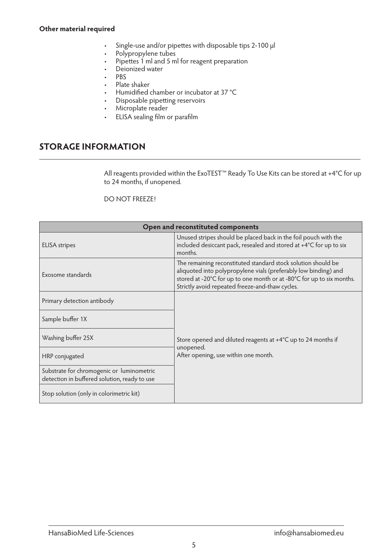#### **Other material required**

- • Single-use and/or pipettes with disposable tips 2-100 μl
- Polypropylene tubes
- Pipettes 1 ml and 5 ml for reagent preparation
- Deionized water
- $PRS$
- • Plate shaker
- Humidified chamber or incubator at 37 °C
- Disposable pipetting reservoirs
- Microplate reader
- ELISA sealing film or parafilm

# **STORAGE INFORMATION**

 $\overline{a}$ 

All reagents provided within the ExoTEST™ Ready To Use Kits can be stored at +4°C for up to 24 months, if unopened.

#### DO NOT FREEZE!

| Open and reconstituted components                                                         |                                                                                                                                                                                                                                                              |  |
|-------------------------------------------------------------------------------------------|--------------------------------------------------------------------------------------------------------------------------------------------------------------------------------------------------------------------------------------------------------------|--|
| <b>ELISA</b> stripes                                                                      | Unused stripes should be placed back in the foil pouch with the<br>included desiccant pack, resealed and stored at +4°C for up to six<br>months.                                                                                                             |  |
| Exosome standards                                                                         | The remaining reconstituted standard stock solution should be<br>aliquoted into polypropylene vials (preferably low binding) and<br>stored at -20°C for up to one month or at -80°C for up to six months.<br>Strictly avoid repeated freeze-and-thaw cycles. |  |
| Primary detection antibody                                                                |                                                                                                                                                                                                                                                              |  |
| Sample buffer 1X                                                                          |                                                                                                                                                                                                                                                              |  |
| Washing buffer 25X                                                                        | Store opened and diluted reagents at $+4^{\circ}$ C up to 24 months if<br>unopened.                                                                                                                                                                          |  |
| HRP conjugated                                                                            | After opening, use within one month.                                                                                                                                                                                                                         |  |
| Substrate for chromogenic or luminometric<br>detection in buffered solution, ready to use |                                                                                                                                                                                                                                                              |  |
| Stop solution (only in colorimetric kit)                                                  |                                                                                                                                                                                                                                                              |  |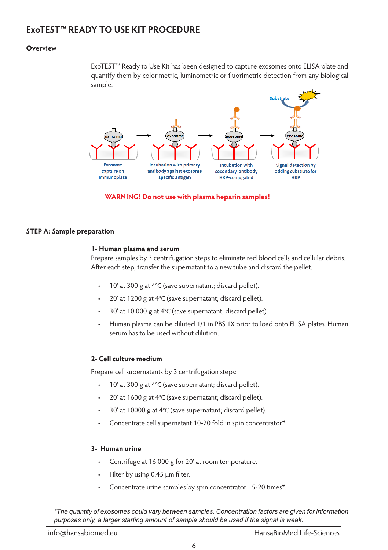#### **Overview**

 $\overline{a}$ 

ExoTEST™ Ready to Use Kit has been designed to capture exosomes onto ELISA plate and quantify them by colorimetric, luminometric or fluorimetric detection from any biological sample.



#### **WARNING! Do not use with plasma heparin samples!**

#### **STEP A: Sample preparation**

#### **1- Human plasma and serum**

Prepare samples by 3 centrifugation steps to eliminate red blood cells and cellular debris. After each step, transfer the supernatant to a new tube and discard the pellet.

- 10' at 300 g at  $4^{\circ}$ C (save supernatant; discard pellet).
- 20' at 1200 g at  $4^{\circ}$ C (save supernatant; discard pellet).
- 30' at 10 000 g at  $4^{\circ}$ C (save supernatant; discard pellet).
- Human plasma can be diluted 1/1 in PBS 1X prior to load onto ELISA plates. Human serum has to be used without dilution.

#### **2- Cell culture medium**

Prepare cell supernatants by 3 centrifugation steps:

- 10' at 300  $g$  at 4°C (save supernatant; discard pellet).
- 20' at 1600 g at  $4^{\circ}$ C (save supernatant; discard pellet).
- 30' at 10000 g at 4°C (save supernatant; discard pellet).
- Concentrate cell supernatant 10-20 fold in spin concentrator\*.

#### **3- Human urine**

- Centrifuge at 16 000 g for 20' at room temperature.
- Filter by using 0.45 μm filter.
- Concentrate urine samples by spin concentrator 15-20 times\*.

*\*The quantity of exosomes could vary between samples. Concentration factors are given for information purposes only, a larger starting amount of sample should be used if the signal is weak.*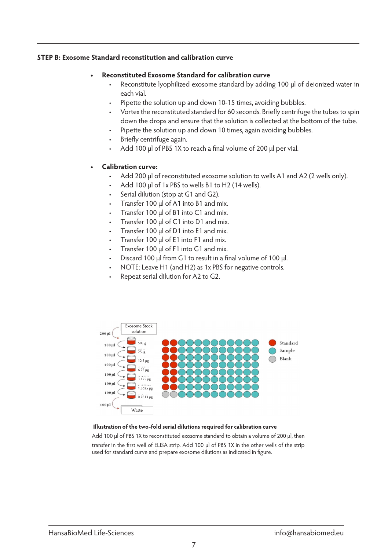#### **STEP B: Exosome Standard reconstitution and calibration curve**

#### **Reconstituted Exosome Standard for calibration curve**

- Reconstitute lyophilized exosome standard by adding 100 μl of deionized water in each vial.
- Pipette the solution up and down 10-15 times, avoiding bubbles.
- Vortex the reconstituted standard for 60 seconds. Briefly centrifuge the tubes to spin down the drops and ensure that the solution is collected at the bottom of the tube.
- Pipette the solution up and down 10 times, again avoiding bubbles.
- Briefly centrifuge again.
- Add 100 μl of PBS 1X to reach a final volume of 200 μl per vial.

#### **Calibration curve:**

- Add 200 μl of reconstituted exosome solution to wells A1 and A2 (2 wells only).
- Add 100 μl of 1x PBS to wells B1 to H2 (14 wells).
- Serial dilution (stop at G1 and G2).
- Transfer 100 μl of A1 into B1 and mix.
- Transfer 100 μl of  $B1$  into  $C1$  and mix.
- Transfer 100 μl of C1 into D1 and mix.
- Transfer 100 μl of D1 into E1 and mix.
- Transfer 100 μl of E1 into F1 and mix.
- Transfer 100 μl of F1 into G1 and mix.
- Discard 100 μl from G1 to result in a final volume of 100 μl.
- NOTE: Leave H1 (and H2) as 1x PBS for negative controls.
- Repeat serial dilution for A2 to G2.



#### **Illustration of the two-fold serial dilutions required for calibration curve**

Add 100 μl of PBS 1X to reconstituted exosome standard to obtain a volume of 200 μl, then transfer in the first well of ELISA strip. Add 100 μl of PBS 1X in the other wells of the strip used for standard curve and prepare exosome dilutions as indicated in figure.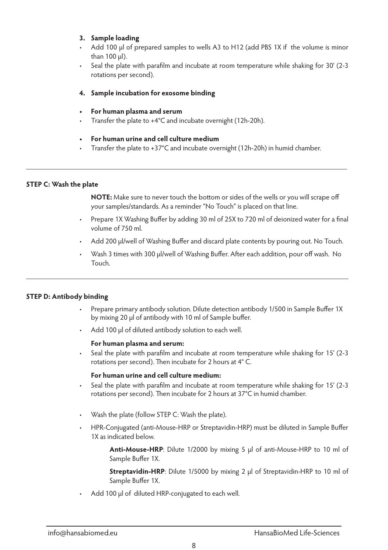### **3. Sample loading**

- Add 100 μl of prepared samples to wells A3 to H12 (add PBS 1X if the volume is minor than 100 μl).
- Seal the plate with parafilm and incubate at room temperature while shaking for 30' (2-3 rotations per second).

#### **4. Sample incubation for exosome binding**

- **• For human plasma and serum**
- Transfer the plate to  $+4^{\circ}$ C and incubate overnight (12h-20h).
- **• For human urine and cell culture medium**
- Transfer the plate to  $+37^{\circ}$ C and incubate overnight (12h-20h) in humid chamber.

#### **STEP C: Wash the plate**

 $\overline{a}$ 

**NOTE:** Make sure to never touch the bottom or sides of the wells or you will scrape off your samples/standards. As a reminder "No Touch" is placed on that line.

- Prepare 1X Washing Buffer by adding 30 ml of 25X to 720 ml of deionized water for a final volume of 750 ml.
- Add 200 μl/well of Washing Buffer and discard plate contents by pouring out. No Touch.
- • Wash 3 times with 300 μl/well of Washing Buffer. After each addition, pour off wash. No Touch.

#### **STEP D: Antibody binding**

- Prepare primary antibody solution. Dilute detection antibody 1/500 in Sample Buffer 1X by mixing 20 μl of antibody with 10 ml of Sample buffer.
- • Add 100 μl of diluted antibody solution to each well.

#### **For human plasma and serum:**

Seal the plate with parafilm and incubate at room temperature while shaking for 15' (2-3) rotations per second). Then incubate for 2 hours at 4° C.

#### **For human urine and cell culture medium:**

- Seal the plate with parafilm and incubate at room temperature while shaking for 15' (2-3 rotations per second). Then incubate for 2 hours at 37°C in humid chamber.
- Wash the plate (follow STEP C: Wash the plate).
- HPR-Conjugated (anti-Mouse-HRP or Streptavidin-HRP) must be diluted in Sample Buffer 1X as indicated below.

**Anti-Mouse-HRP**: Dilute 1/2000 by mixing 5 μl of anti-Mouse-HRP to 10 ml of Sample Buffer 1X.

**Streptavidin-HRP**: Dilute 1/5000 by mixing 2 ul of Streptavidin-HRP to 10 ml of Sample Buffer 1X.

Add 100 μl of diluted HRP-conjugated to each well.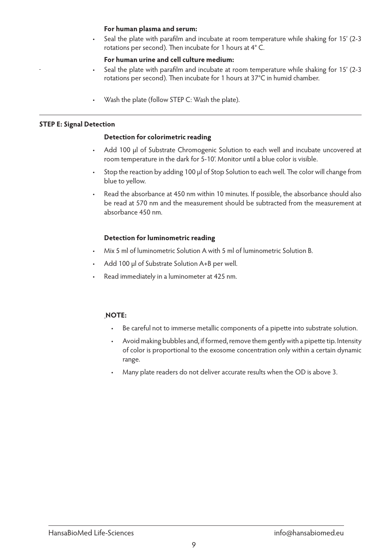#### **For human plasma and serum:**

Seal the plate with parafilm and incubate at room temperature while shaking for 15' (2-3 rotations per second). Then incubate for 1 hours at 4° C.

#### **For human urine and cell culture medium:**

- Seal the plate with parafilm and incubate at room temperature while shaking for 15' (2-3) rotations per second). Then incubate for 1 hours at 37°C in humid chamber.
- Wash the plate (follow STEP C: Wash the plate).

#### **STEP E: Signal Detection**

#### **Detection for colorimetric reading**

- Add 100 μl of Substrate Chromogenic Solution to each well and incubate uncovered at room temperature in the dark for 5-10'. Monitor until a blue color is visible.
- Stop the reaction by adding 100 μl of Stop Solution to each well. The color will change from blue to yellow.
- Read the absorbance at 450 nm within 10 minutes. If possible, the absorbance should also be read at 570 nm and the measurement should be subtracted from the measurement at absorbance 450 nm.

#### **Detection for luminometric reading**

- Mix 5 ml of luminometric Solution A with 5 ml of luminometric Solution B.
- Add 100 μl of Substrate Solution A+B per well.
- Read immediately in a luminometer at 425 nm.

#### **NOTE:**

- Be careful not to immerse metallic components of a pipette into substrate solution.
- • Avoid making bubbles and, if formed, remove them gently with a pipette tip. Intensity of color is proportional to the exosome concentration only within a certain dynamic range.
- Many plate readers do not deliver accurate results when the OD is above 3.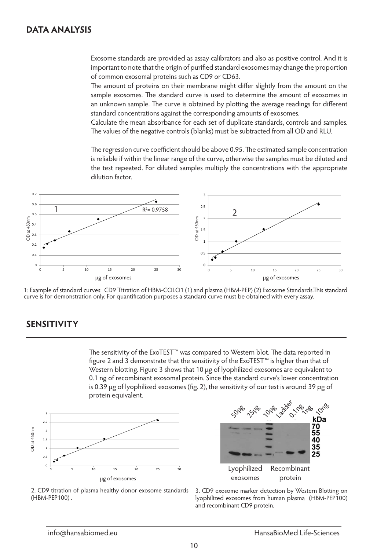$\overline{a}$ 

Exosome standards are provided as assay calibrators and also as positive control. And it is important to note that the origin of purified standard exosomes may change the proportion of common exosomal proteins such as CD9 or CD63.

The amount of proteins on their membrane might differ slightly from the amount on the sample exosomes. The standard curve is used to determine the amount of exosomes in an unknown sample. The curve is obtained by plotting the average readings for different standard concentrations against the corresponding amounts of exosomes.

Calculate the mean absorbance for each set of duplicate standards, controls and samples. The values of the negative controls (blanks) must be subtracted from all OD and RLU.

The regression curve coefficient should be above 0.95. The estimated sample concentration is reliable if within the linear range of the curve, otherwise the samples must be diluted and the test repeated. For diluted samples multiply the concentrations with the appropriate dilution factor.



1: Example of standard curves: CD9 Titration of HBM-COLO1 (1) and plasma (HBM-PEP) (2) Exosome Standards.This standard curve is for demonstration only. For quantification purposes a standard curve must be obtained with every assay.

# **SENSITIVITY**

 $\overline{a}$ 

The sensitivity of the ExoTEST™ was compared to Western blot. The data reported in figure 2 and 3 demonstrate that the sensitivity of the ExoTEST™ is higher than that of Western blotting. Figure 3 shows that 10 μg of lyophilized exosomes are equivalent to 0.1 ng of recombinant exosomal protein. Since the standard curve's lower concentration is 0.39 μg of lyophilized exosomes (fig. 2), the sensitivity of our test is around 39 pg of protein equivalent.





2. CD9 titration of plasma healthy donor exosome standards (HBM-PEP100) .

3. CD9 exosome marker detection by Western Blotting on lyophilized exosomes from human plasma (HBM-PEP100) and recombinant CD9 protein.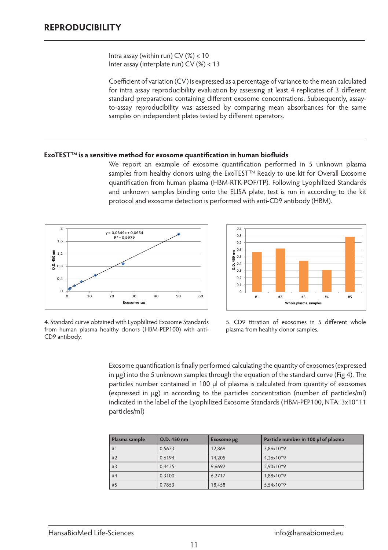$\overline{a}$ 

 $\overline{a}$ 

Intra assay (within run) CV (%) < 10 Inter assay (interplate run) CV (%) < 13

Coefficient of variation (CV) is expressed as a percentage of variance to the mean calculated for intra assay reproducibility evaluation by assessing at least 4 replicates of 3 different standard preparations containing different exosome concentrations. Subsequently, assayto-assay reproducibility was assessed by comparing mean absorbances for the same samples on independent plates tested by different operators.

#### **ExoTESTTM is a sensitive method for exosome quantification in human biofluids**

We report an example of exosome quantification performed in 5 unknown plasma samples from healthy donors using the ExoTEST™ Ready to use kit for Overall Exosome quantification from human plasma (HBM-RTK-POF/TP). Following Lyophilized Standards and unknown samples binding onto the ELISA plate, test is run in according to the kit protocol and exosome detection is performed with anti-CD9 antibody (HBM).





4. Standard curve obtained with Lyophilized Exosome Standards from human plasma healthy donors (HBM-PEP100) with anti-CD9 antibody.

5. CD9 titration of exosomes in 5 different whole plasma from healthy donor samples.

Exosome quantification is finally performed calculating the quantity of exosomes (expressed in μg) into the 5 unknown samples through the equation of the standard curve (Fig 4). The particles number contained in 100 μl of plasma is calculated from quantity of exosomes (expressed in μg) in according to the particles concentration (number of particles/ml) indicated in the label of the Lyophilized Exosome Standards (HBM-PEP100, NTA: 3x10^11 particles/ml)

| Plasma sample | O.D. 450 nm | Exosome µg | Particle number in 100 µl of plasma |
|---------------|-------------|------------|-------------------------------------|
| #1            | 0.5673      | 12.869     | 3,86x10^9                           |
| #2            | 0.6194      | 14,205     | 4,26x10^9                           |
| #3            | 0.4425      | 9.6692     | 2,90x10^9                           |
| #4            | 0.3100      | 6,2717     | 1,88x10^9                           |
| #5            | 0.7853      | 18,458     | 5,54x10^9                           |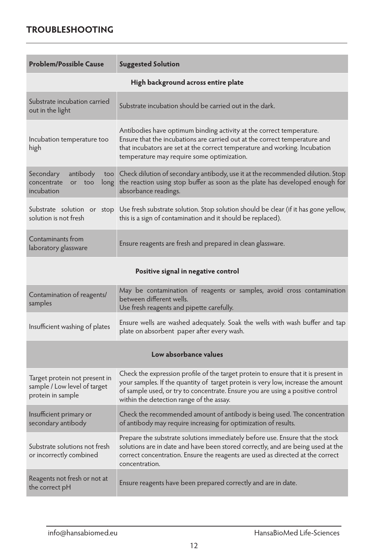# **TROUBLESHOOTING**

 $\overline{a}$ 

| <b>Problem/Possible Cause</b>                                                      | <b>Suggested Solution</b>                                                                                                                                                                                                                                                                            |  |
|------------------------------------------------------------------------------------|------------------------------------------------------------------------------------------------------------------------------------------------------------------------------------------------------------------------------------------------------------------------------------------------------|--|
|                                                                                    | High background across entire plate                                                                                                                                                                                                                                                                  |  |
| Substrate incubation carried<br>out in the light                                   | Substrate incubation should be carried out in the dark.                                                                                                                                                                                                                                              |  |
| Incubation temperature too<br>high                                                 | Antibodies have optimum binding activity at the correct temperature.<br>Ensure that the incubations are carried out at the correct temperature and<br>that incubators are set at the correct temperature and working. Incubation<br>temperature may require some optimization.                       |  |
| Secondary<br>antibody<br>concentrate<br>or<br>too<br>long<br>incubation            | too Check dilution of secondary antibody, use it at the recommended dilution. Stop<br>the reaction using stop buffer as soon as the plate has developed enough for<br>absorbance readings.                                                                                                           |  |
| solution is not fresh                                                              | Substrate solution or stop Use fresh substrate solution. Stop solution should be clear (if it has gone yellow,<br>this is a sign of contamination and it should be replaced).                                                                                                                        |  |
| Contaminants from<br>laboratory glassware                                          | Ensure reagents are fresh and prepared in clean glassware.                                                                                                                                                                                                                                           |  |
| Positive signal in negative control                                                |                                                                                                                                                                                                                                                                                                      |  |
| Contamination of reagents/<br>samples                                              | May be contamination of reagents or samples, avoid cross contamination<br>between different wells.<br>Use fresh reagents and pipette carefully.                                                                                                                                                      |  |
| Insufficient washing of plates                                                     | Ensure wells are washed adequately. Soak the wells with wash buffer and tap<br>plate on absorbent paper after every wash.                                                                                                                                                                            |  |
| Low absorbance values                                                              |                                                                                                                                                                                                                                                                                                      |  |
| Target protein not present in<br>sample / Low level of target<br>protein in sample | Check the expression profile of the target protein to ensure that it is present in<br>your samples. If the quantity of target protein is very low, increase the amount<br>of sample used, or try to concentrate. Ensure you are using a positive control<br>within the detection range of the assay. |  |
| Insufficient primary or<br>secondary antibody                                      | Check the recommended amount of antibody is being used. The concentration<br>of antibody may require increasing for optimization of results.                                                                                                                                                         |  |
| Substrate solutions not fresh<br>or incorrectly combined                           | Prepare the substrate solutions immediately before use. Ensure that the stock<br>solutions are in date and have been stored correctly, and are being used at the<br>correct concentration. Ensure the reagents are used as directed at the correct<br>concentration.                                 |  |
| Reagents not fresh or not at<br>the correct pH                                     | Ensure reagents have been prepared correctly and are in date.                                                                                                                                                                                                                                        |  |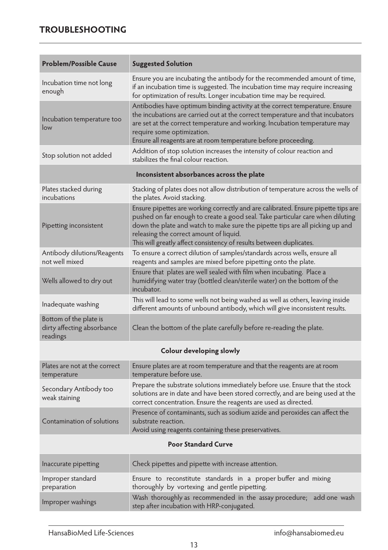# **TROUBLESHOOTING**

 $\overline{a}$ 

| <b>Problem/Possible Cause</b>                                    | <b>Suggested Solution</b>                                                                                                                                                                                                                                                                                                                                              |  |  |
|------------------------------------------------------------------|------------------------------------------------------------------------------------------------------------------------------------------------------------------------------------------------------------------------------------------------------------------------------------------------------------------------------------------------------------------------|--|--|
| Incubation time not long<br>enough                               | Ensure you are incubating the antibody for the recommended amount of time,<br>if an incubation time is suggested. The incubation time may require increasing<br>for optimization of results. Longer incubation time may be required.                                                                                                                                   |  |  |
| Incubation temperature too<br>low                                | Antibodies have optimum binding activity at the correct temperature. Ensure<br>the incubations are carried out at the correct temperature and that incubators<br>are set at the correct temperature and working. Incubation temperature may<br>require some optimization.<br>Ensure all reagents are at room temperature before proceeding.                            |  |  |
| Stop solution not added                                          | Addition of stop solution increases the intensity of colour reaction and<br>stabilizes the final colour reaction.                                                                                                                                                                                                                                                      |  |  |
|                                                                  | Inconsistent absorbances across the plate                                                                                                                                                                                                                                                                                                                              |  |  |
| Plates stacked during<br>incubations                             | Stacking of plates does not allow distribution of temperature across the wells of<br>the plates. Avoid stacking.                                                                                                                                                                                                                                                       |  |  |
| Pipetting inconsistent                                           | Ensure pipettes are working correctly and are calibrated. Ensure pipette tips are<br>pushed on far enough to create a good seal. Take particular care when diluting<br>down the plate and watch to make sure the pipette tips are all picking up and<br>releasing the correct amount of liquid.<br>This will greatly affect consistency of results between duplicates. |  |  |
| Antibody dilutions/Reagents<br>not well mixed                    | To ensure a correct dilution of samples/standards across wells, ensure all<br>reagents and samples are mixed before pipetting onto the plate.                                                                                                                                                                                                                          |  |  |
| Wells allowed to dry out                                         | Ensure that plates are well sealed with film when incubating. Place a<br>humidifying water tray (bottled clean/sterile water) on the bottom of the<br>incubator.                                                                                                                                                                                                       |  |  |
| Inadequate washing                                               | This will lead to some wells not being washed as well as others, leaving inside<br>different amounts of unbound antibody, which will give inconsistent results.                                                                                                                                                                                                        |  |  |
| Bottom of the plate is<br>dirty affecting absorbance<br>readings | Clean the bottom of the plate carefully before re-reading the plate.                                                                                                                                                                                                                                                                                                   |  |  |
|                                                                  | Colour developing slowly                                                                                                                                                                                                                                                                                                                                               |  |  |
| Plates are not at the correct<br>temperature                     | Ensure plates are at room temperature and that the reagents are at room<br>temperature before use.                                                                                                                                                                                                                                                                     |  |  |
| Secondary Antibody too<br>weak staining                          | Prepare the substrate solutions immediately before use. Ensure that the stock<br>solutions are in date and have been stored correctly, and are being used at the<br>correct concentration. Ensure the reagents are used as directed.                                                                                                                                   |  |  |
| Contamination of solutions                                       | Presence of contaminants, such as sodium azide and peroxides can affect the<br>substrate reaction.<br>Avoid using reagents containing these preservatives.                                                                                                                                                                                                             |  |  |
| <b>Poor Standard Curve</b>                                       |                                                                                                                                                                                                                                                                                                                                                                        |  |  |
| Inaccurate pipetting                                             | Check pipettes and pipette with increase attention.                                                                                                                                                                                                                                                                                                                    |  |  |
| Improper standard<br>preparation                                 | Ensure to reconstitute standards in a proper buffer and mixing<br>thoroughly by vortexing and gentle pipetting.                                                                                                                                                                                                                                                        |  |  |
| Improper washings                                                | Wash thoroughly as recommended in the assay procedure; add one wash<br>step after incubation with HRP-conjugated.                                                                                                                                                                                                                                                      |  |  |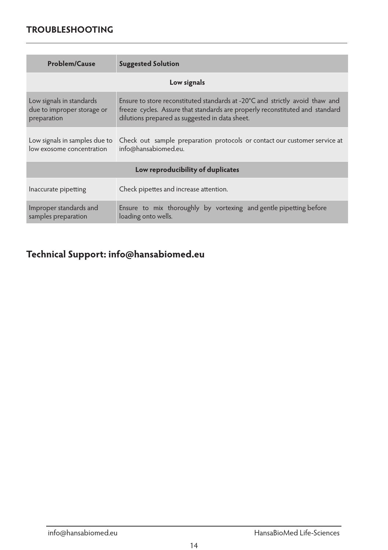# **TROUBLESHOOTING**

 $\overline{a}$ 

| <b>Problem/Cause</b>                                                  | <b>Suggested Solution</b>                                                                                                                                                                                      |  |  |
|-----------------------------------------------------------------------|----------------------------------------------------------------------------------------------------------------------------------------------------------------------------------------------------------------|--|--|
| Low signals                                                           |                                                                                                                                                                                                                |  |  |
| Low signals in standards<br>due to improper storage or<br>preparation | Ensure to store reconstituted standards at -20°C and strictly avoid thaw and<br>freeze cycles. Assure that standards are properly reconstituted and standard<br>dilutions prepared as suggested in data sheet. |  |  |
| Low signals in samples due to<br>low exosome concentration            | Check out sample preparation protocols or contact our customer service at<br>info@hansabiomed.eu.                                                                                                              |  |  |
| Low reproducibility of duplicates                                     |                                                                                                                                                                                                                |  |  |
| Inaccurate pipetting                                                  | Check pipettes and increase attention.                                                                                                                                                                         |  |  |
| Improper standards and<br>samples preparation                         | Ensure to mix thoroughly by vortexing and gentle pipetting before<br>loading onto wells.                                                                                                                       |  |  |

**Technical Support: info@hansabiomed.eu**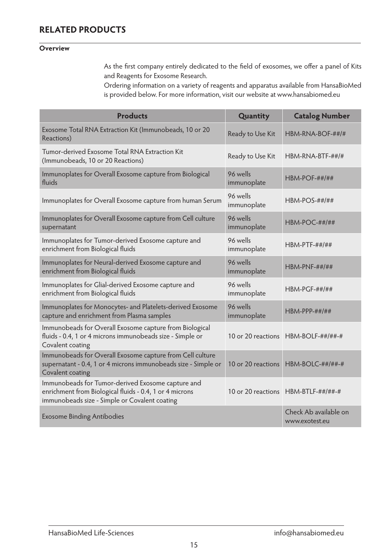# **RELATED PRODUCTS**

#### $\overline{a}$ **Overview**

As the first company entirely dedicated to the field of exosomes, we offer a panel of Kits and Reagents for Exosome Research.

Ordering information on a variety of reagents and apparatus available from HansaBioMed is provided below. For more information, visit our website at www.hansabiomed.eu

| <b>Products</b>                                                                                                                                               | Quantity                | <b>Catalog Number</b>                   |
|---------------------------------------------------------------------------------------------------------------------------------------------------------------|-------------------------|-----------------------------------------|
| Exosome Total RNA Extraction Kit (Immunobeads, 10 or 20<br>Reactions)                                                                                         | Ready to Use Kit        | HBM-RNA-BOF-##/#                        |
| Tumor-derived Exosome Total RNA Extraction Kit<br>(Immunobeads, 10 or 20 Reactions)                                                                           | Ready to Use Kit        | $HBM-RNA-BTF-####$                      |
| Immunoplates for Overall Exosome capture from Biological<br>fluids                                                                                            | 96 wells<br>immunoplate | <b>HBM-POF-##/##</b>                    |
| Immunoplates for Overall Exosome capture from human Serum                                                                                                     | 96 wells<br>immunoplate | $HBM-POS-##/##$                         |
| Immunoplates for Overall Exosome capture from Cell culture<br>supernatant                                                                                     | 96 wells<br>immunoplate | $HBM-POC-#####$                         |
| Immunoplates for Tumor-derived Exosome capture and<br>enrichment from Biological fluids                                                                       | 96 wells<br>immunoplate | $HBM-PTF-#####$                         |
| Immunoplates for Neural-derived Exosome capture and<br>enrichment from Biological fluids                                                                      | 96 wells<br>immunoplate | $HBM-PNF-#####$                         |
| Immunoplates for Glial-derived Exosome capture and<br>enrichment from Biological fluids                                                                       | 96 wells<br>immunoplate | $HBM-PGF-#####$                         |
| Immunoplates for Monocytes- and Platelets-derived Exosome<br>capture and enrichment from Plasma samples                                                       | 96 wells<br>immunoplate | $HBM-PPP-##///##$                       |
| Immunobeads for Overall Exosome capture from Biological<br>fluids - 0.4, 1 or 4 microns immunobeads size - Simple or<br>Covalent coating                      |                         | 10 or 20 reactions HBM-BOLF-##/##-#     |
| Immunobeads for Overall Exosome capture from Cell culture<br>supernatant - 0.4, 1 or 4 microns immunobeads size - Simple or<br>Covalent coating               | 10 or 20 reactions      | $HBM-BOLC-#######$                      |
| Immunobeads for Tumor-derived Exosome capture and<br>enrichment from Biological fluids - 0.4, 1 or 4 microns<br>immunobeads size - Simple or Covalent coating |                         | 10 or 20 reactions HBM-BTLF-##/##-#     |
| <b>Exosome Binding Antibodies</b>                                                                                                                             |                         | Check Ab available on<br>www.exotest.eu |